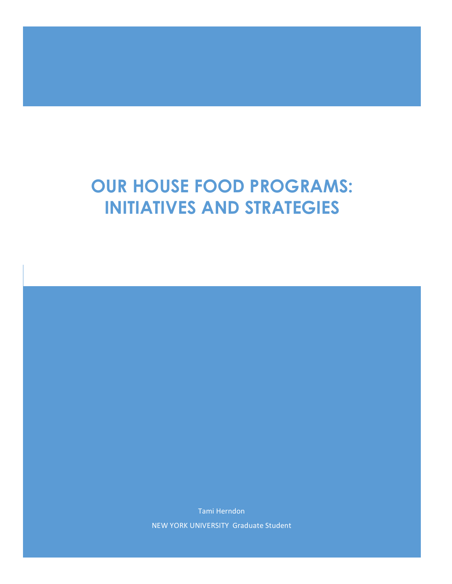# **OUR HOUSE FOOD PROGRAMS: INITIATIVES AND STRATEGIES**

Tami!Herndon NEW YORK UNIVERSITY Graduate Student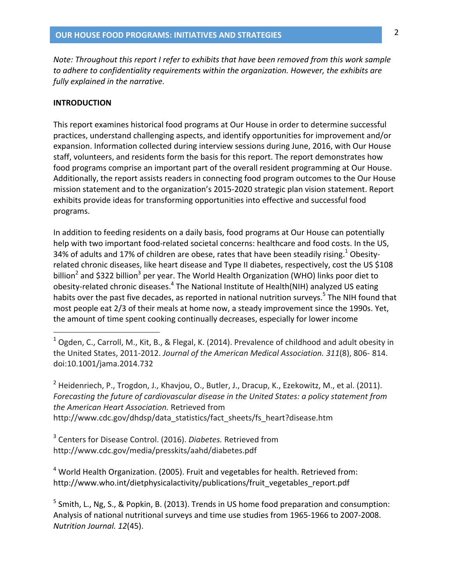Note: Throughout this report I refer to exhibits that have been removed from this work sample to adhere to confidentiality requirements within the organization. However, the exhibits are fully explained in the narrative.

#### **INTRODUCTION**

This report examines historical food programs at Our House in order to determine successful practices, understand challenging aspects, and identify opportunities for improvement and/or expansion. Information collected during interview sessions during June, 2016, with Our House staff, volunteers, and residents form the basis for this report. The report demonstrates how food programs comprise an important part of the overall resident programming at Our House. Additionally, the report assists readers in connecting food program outcomes to the Our House mission statement and to the organization's 2015-2020 strategic plan vision statement. Report exhibits provide ideas for transforming opportunities into effective and successful food programs.

In addition to feeding residents on a daily basis, food programs at Our House can potentially help with two important food-related societal concerns: healthcare and food costs. In the US, 34% of adults and 17% of children are obese, rates that have been steadily rising.<sup>1</sup> Obesityrelated chronic diseases, like heart disease and Type II diabetes, respectively, cost the US \$108 billion<sup>2</sup> and \$322 billion<sup>3</sup> per year. The World Health Organization (WHO) links poor diet to obesity-related chronic diseases.<sup>4</sup> The National Institute of Health(NIH) analyzed US eating habits over the past five decades, as reported in national nutrition surveys.<sup>5</sup> The NIH found that most people eat 2/3 of their meals at home now, a steady improvement since the 1990s. Yet, the amount of time spent cooking continually decreases, especially for lower income

<sup>2</sup> Heidenriech, P., Trogdon, J., Khavjou, O., Butler, J., Dracup, K., Ezekowitz, M., et al. (2011). Forecasting the future of cardiovascular disease in the United States: a policy statement from the American Heart Association. Retrieved from http://www.cdc.gov/dhdsp/data\_statistics/fact\_sheets/fs\_heart?disease.htm

<sup>3</sup> Centers for Disease Control. (2016). Diabetes. Retrieved from http://www.cdc.gov/media/presskits/aahd/diabetes.pdf

<sup>4</sup> World Health Organization. (2005). Fruit and vegetables for health. Retrieved from: http://www.who.int/dietphysicalactivity/publications/fruit\_vegetables\_report.pdf

 $5$  Smith, L., Ng, S., & Popkin, B. (2013). Trends in US home food preparation and consumption: Analysis of national nutritional surveys and time use studies from 1965-1966 to 2007-2008. Nutrition Journal. 12(45).

<sup>&</sup>lt;sup>1</sup> Ogden, C., Carroll, M., Kit, B., & Flegal, K. (2014). Prevalence of childhood and adult obesity in the United States, 2011-2012. Journal of the American Medical Association. 311(8), 806-814. doi:10.1001/jama.2014.732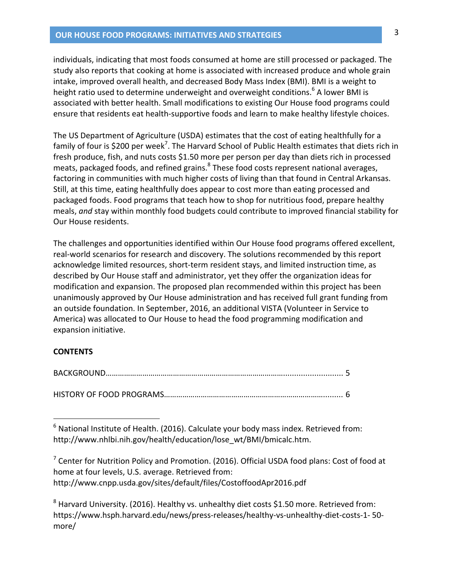#### **OUR HOUSE FOOD PROGRAMS: INITIATIVES AND STRATEGIES**

individuals, indicating that most foods consumed at home are still processed or packaged. The study also reports that cooking at home is associated with increased produce and whole grain intake, improved overall health, and decreased Body Mass Index (BMI). BMI is a weight to height ratio used to determine underweight and overweight conditions.<sup>6</sup> A lower BMI is associated with better health. Small modifications to existing Our House food programs could ensure that residents eat health-supportive foods and learn to make healthy lifestyle choices.

The US Department of Agriculture (USDA) estimates that the cost of eating healthfully for a family of four is \$200 per week<sup>7</sup>. The Harvard School of Public Health estimates that diets rich in fresh produce, fish, and nuts costs \$1.50 more per person per day than diets rich in processed meats, packaged foods, and refined grains.<sup>8</sup> These food costs represent national averages, factoring in communities with much higher costs of living than that found in Central Arkansas. Still, at this time, eating healthfully does appear to cost more than eating processed and packaged foods. Food programs that teach how to shop for nutritious food, prepare healthy meals, and stay within monthly food budgets could contribute to improved financial stability for Our House residents.

The challenges and opportunities identified within Our House food programs offered excellent, real-world scenarios for research and discovery. The solutions recommended by this report acknowledge limited resources, short-term resident stays, and limited instruction time, as described by Our House staff and administrator, yet they offer the organization ideas for modification and expansion. The proposed plan recommended within this project has been unanimously approved by Our House administration and has received full grant funding from an outside foundation. In September, 2016, an additional VISTA (Volunteer in Service to America) was allocated to Our House to head the food programming modification and expansion initiative.

#### **CONTENTS**

 $6$  National Institute of Health. (2016). Calculate your body mass index. Retrieved from: http://www.nhlbi.nih.gov/health/education/lose wt/BMI/bmicalc.htm.

 $7$  Center for Nutrition Policy and Promotion. (2016). Official USDA food plans: Cost of food at home at four levels, U.S. average. Retrieved from: http://www.cnpp.usda.gov/sites/default/files/CostoffoodApr2016.pdf

 $8$  Harvard University. (2016). Healthy vs. unhealthy diet costs \$1.50 more. Retrieved from: https://www.hsph.harvard.edu/news/press-releases/healthy-vs-unhealthy-diet-costs-1-50more/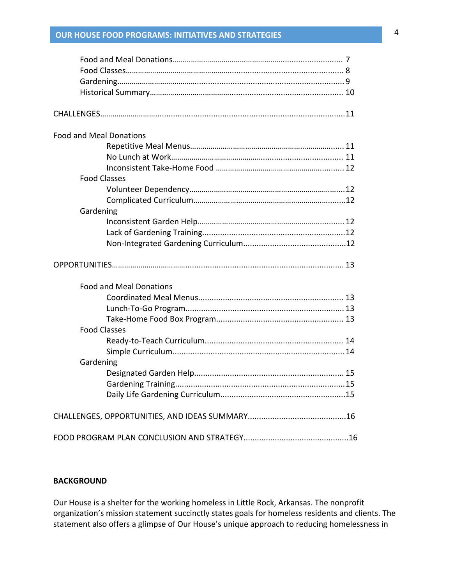# **OUR\$HOUSE\$FOOD\$PROGR** 4 **AMS:\$INITIATIVES\$AND STRATEGIES\$\$\$\$\$\$ \$\$\$\$\$\$\$\$\$\$\$\$\$\$\$\$\$\$\$\$\$\$\$\$\$\$\$\$\$\$\$\$\$\$\$\$\$\$\$\$\$\$\$\$\$\$\$\$\$\$\$\$\$\$\$\$\$\$\$\$\$\$\$\$\$\$\$\$\$\$\$\$\$\$\$\$\$\$\$\$\$\$\$\$\$\$\$\$\$**

| <b>Food and Meal Donations</b> |                                |  |
|--------------------------------|--------------------------------|--|
|                                |                                |  |
|                                |                                |  |
|                                |                                |  |
| <b>Food Classes</b>            |                                |  |
|                                |                                |  |
|                                |                                |  |
| Gardening                      |                                |  |
|                                |                                |  |
|                                |                                |  |
|                                |                                |  |
|                                |                                |  |
|                                |                                |  |
|                                | <b>Food and Meal Donations</b> |  |
|                                |                                |  |
|                                |                                |  |
|                                |                                |  |
| <b>Food Classes</b>            |                                |  |
|                                |                                |  |
|                                |                                |  |
| Gardening                      |                                |  |
|                                |                                |  |
|                                |                                |  |
|                                |                                |  |
|                                |                                |  |

#### **BACKGROUND**

Our House is a shelter for the working homeless in Little Rock, Arkansas. The nonprofit organization's mission statement succinctly states goals for homeless residents and clients. The statement also offers a glimpse of Our House's unique approach to reducing homelessness in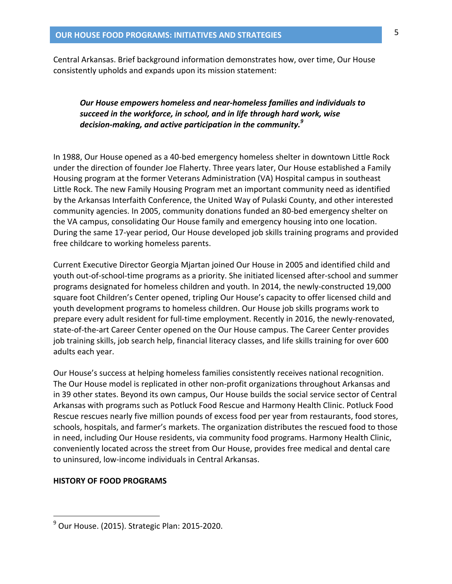Central Arkansas. Brief background information demonstrates how, over time, Our House consistently upholds and expands upon its mission statement:

## Our House empowers homeless and near-homeless families and individuals to succeed in the workforce, in school, and in life through hard work, wise decision-making, and active participation in the community.<sup>9</sup>

In 1988, Our House opened as a 40-bed emergency homeless shelter in downtown Little Rock under the direction of founder Joe Flaherty. Three years later, Our House established a Family Housing program at the former Veterans Administration (VA) Hospital campus in southeast Little Rock. The new Family Housing Program met an important community need as identified by the Arkansas Interfaith Conference, the United Way of Pulaski County, and other interested community agencies. In 2005, community donations funded an 80-bed emergency shelter on the VA campus, consolidating Our House family and emergency housing into one location. During the same 17-year period, Our House developed job skills training programs and provided free childcare to working homeless parents.

Current Executive Director Georgia Mjartan joined Our House in 2005 and identified child and youth out-of-school-time programs as a priority. She initiated licensed after-school and summer programs designated for homeless children and youth. In 2014, the newly-constructed 19,000 square foot Children's Center opened, tripling Our House's capacity to offer licensed child and youth development programs to homeless children. Our House job skills programs work to prepare every adult resident for full-time employment. Recently in 2016, the newly-renovated, state-of-the-art Career Center opened on the Our House campus. The Career Center provides job training skills, job search help, financial literacy classes, and life skills training for over 600 adults each year.

Our House's success at helping homeless families consistently receives national recognition. The Our House model is replicated in other non-profit organizations throughout Arkansas and in 39 other states. Beyond its own campus, Our House builds the social service sector of Central Arkansas with programs such as Potluck Food Rescue and Harmony Health Clinic. Potluck Food Rescue rescues nearly five million pounds of excess food per year from restaurants, food stores, schools, hospitals, and farmer's markets. The organization distributes the rescued food to those in need, including Our House residents, via community food programs. Harmony Health Clinic, conveniently located across the street from Our House, provides free medical and dental care to uninsured, low-income individuals in Central Arkansas.

#### **HISTORY OF FOOD PROGRAMS**

 $9$  Our House. (2015). Strategic Plan: 2015-2020.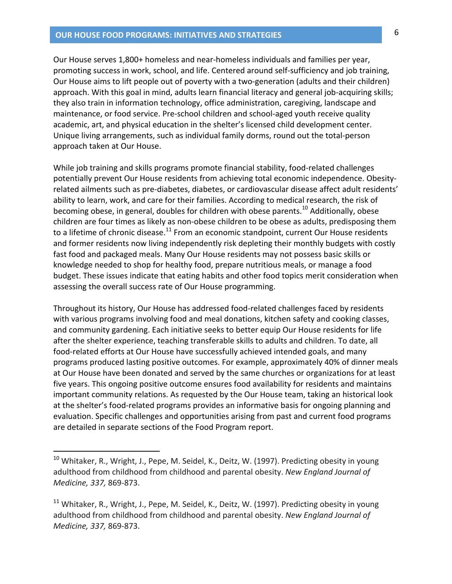#### **OUR HOUSE FOOD PROGRAMS: INITIATIVES AND STRATEGIES**

Our House serves 1,800+ homeless and near-homeless individuals and families per year, promoting success in work, school, and life. Centered around self-sufficiency and job training, Our House aims to lift people out of poverty with a two-generation (adults and their children) approach. With this goal in mind, adults learn financial literacy and general job-acquiring skills; they also train in information technology, office administration, caregiving, landscape and maintenance, or food service. Pre-school children and school-aged youth receive quality academic, art, and physical education in the shelter's licensed child development center. Unique living arrangements, such as individual family dorms, round out the total-person approach taken at Our House.

While job training and skills programs promote financial stability, food-related challenges potentially prevent Our House residents from achieving total economic independence. Obesityrelated ailments such as pre-diabetes, diabetes, or cardiovascular disease affect adult residents' ability to learn, work, and care for their families. According to medical research, the risk of becoming obese, in general, doubles for children with obese parents.<sup>10</sup> Additionally, obese children are four times as likely as non-obese children to be obese as adults, predisposing them to a lifetime of chronic disease.<sup>11</sup> From an economic standpoint, current Our House residents and former residents now living independently risk depleting their monthly budgets with costly fast food and packaged meals. Many Our House residents may not possess basic skills or knowledge needed to shop for healthy food, prepare nutritious meals, or manage a food budget. These issues indicate that eating habits and other food topics merit consideration when assessing the overall success rate of Our House programming.

Throughout its history, Our House has addressed food-related challenges faced by residents with various programs involving food and meal donations, kitchen safety and cooking classes, and community gardening. Each initiative seeks to better equip Our House residents for life after the shelter experience, teaching transferable skills to adults and children. To date, all food-related efforts at Our House have successfully achieved intended goals, and many programs produced lasting positive outcomes. For example, approximately 40% of dinner meals at Our House have been donated and served by the same churches or organizations for at least five years. This ongoing positive outcome ensures food availability for residents and maintains important community relations. As requested by the Our House team, taking an historical look at the shelter's food-related programs provides an informative basis for ongoing planning and evaluation. Specific challenges and opportunities arising from past and current food programs are detailed in separate sections of the Food Program report.

<sup>&</sup>lt;sup>10</sup> Whitaker, R., Wright, J., Pepe, M. Seidel, K., Deitz, W. (1997). Predicting obesity in young adulthood from childhood from childhood and parental obesity. New England Journal of Medicine, 337, 869-873.

<sup>&</sup>lt;sup>11</sup> Whitaker, R., Wright, J., Pepe, M. Seidel, K., Deitz, W. (1997). Predicting obesity in young adulthood from childhood from childhood and parental obesity. New England Journal of Medicine, 337, 869-873.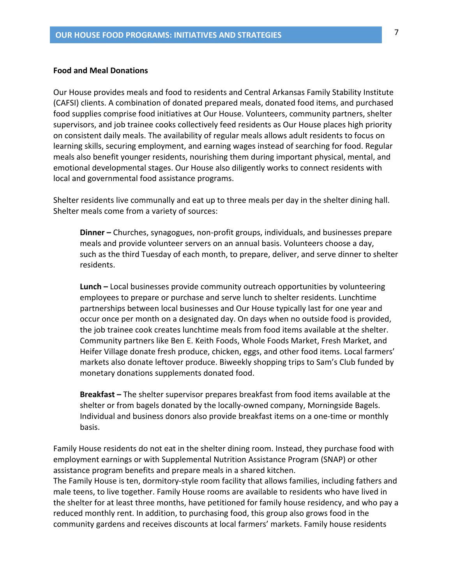#### **Food and Meal Donations**

Our House provides meals and food to residents and Central Arkansas Family Stability Institute (CAFSI) clients. A combination of donated prepared meals, donated food items, and purchased food supplies comprise food initiatives at Our House. Volunteers, community partners, shelter supervisors, and job trainee cooks collectively feed residents as Our House places high priority on consistent daily meals. The availability of regular meals allows adult residents to focus on learning skills, securing employment, and earning wages instead of searching for food. Regular meals also benefit younger residents, nourishing them during important physical, mental, and emotional developmental stages. Our House also diligently works to connect residents with local and governmental food assistance programs.

Shelter residents live communally and eat up to three meals per day in the shelter dining hall. Shelter meals come from a variety of sources:

**Dinner** – Churches, synagogues, non-profit groups, individuals, and businesses prepare meals and provide volunteer servers on an annual basis. Volunteers choose a day, such as the third Tuesday of each month, to prepare, deliver, and serve dinner to shelter residents.

**Lunch -** Local businesses provide community outreach opportunities by volunteering employees to prepare or purchase and serve lunch to shelter residents. Lunchtime partnerships between local businesses and Our House typically last for one year and occur once per month on a designated day. On days when no outside food is provided, the job trainee cook creates lunchtime meals from food items available at the shelter. Community partners like Ben E. Keith Foods, Whole Foods Market, Fresh Market, and Heifer Village donate fresh produce, chicken, eggs, and other food items. Local farmers' markets also donate leftover produce. Biweekly shopping trips to Sam's Club funded by monetary donations supplements donated food.

**Breakfast** – The shelter supervisor prepares breakfast from food items available at the shelter or from bagels donated by the locally-owned company, Morningside Bagels. Individual and business donors also provide breakfast items on a one-time or monthly basis.

Family House residents do not eat in the shelter dining room. Instead, they purchase food with employment earnings or with Supplemental Nutrition Assistance Program (SNAP) or other assistance program benefits and prepare meals in a shared kitchen.

The Family House is ten, dormitory-style room facility that allows families, including fathers and male teens, to live together. Family House rooms are available to residents who have lived in the shelter for at least three months, have petitioned for family house residency, and who pay a reduced monthly rent. In addition, to purchasing food, this group also grows food in the community gardens and receives discounts at local farmers' markets. Family house residents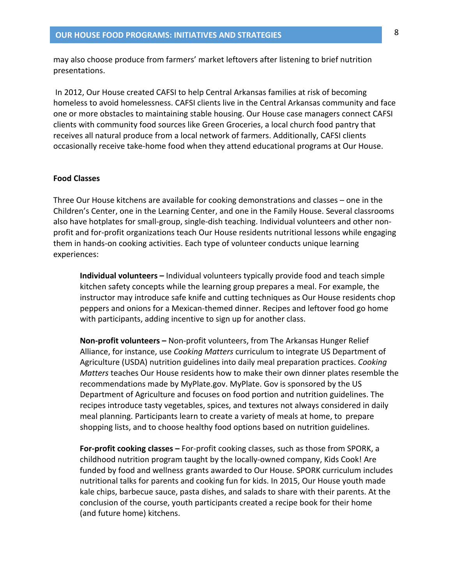may also choose produce from farmers' market leftovers after listening to brief nutrition presentations.

In 2012, Our House created CAFSI to help Central Arkansas families at risk of becoming homeless to avoid homelessness. CAFSI clients live in the Central Arkansas community and face one or more obstacles to maintaining stable housing. Our House case managers connect CAFSI clients with community food sources like Green Groceries, a local church food pantry that receives all natural produce from a local network of farmers. Additionally, CAFSI clients occasionally receive take-home food when they attend educational programs at Our House.

#### **Food Classes**

Three Our House kitchens are available for cooking demonstrations and classes – one in the Children's Center, one in the Learning Center, and one in the Family House. Several classrooms also have hotplates for small-group, single-dish teaching. Individual volunteers and other nonprofit and for-profit organizations teach Our House residents nutritional lessons while engaging them in hands-on cooking activities. Each type of volunteer conducts unique learning experiences:

**Individual volunteers** – Individual volunteers typically provide food and teach simple kitchen safety concepts while the learning group prepares a meal. For example, the instructor may introduce safe knife and cutting techniques as Our House residents chop peppers and onions for a Mexican-themed dinner. Recipes and leftover food go home with participants, adding incentive to sign up for another class.

Non-profit volunteers - Non-profit volunteers, from The Arkansas Hunger Relief Alliance, for instance, use Cooking Matters curriculum to integrate US Department of Agriculture (USDA) nutrition guidelines into daily meal preparation practices. Cooking Matters teaches Our House residents how to make their own dinner plates resemble the recommendations made by MyPlate.gov. MyPlate. Gov is sponsored by the US Department of Agriculture and focuses on food portion and nutrition guidelines. The recipes introduce tasty vegetables, spices, and textures not always considered in daily meal planning. Participants learn to create a variety of meals at home, to prepare shopping lists, and to choose healthy food options based on nutrition guidelines.

For-profit cooking classes - For-profit cooking classes, such as those from SPORK, a childhood nutrition program taught by the locally-owned company, Kids Cook! Are funded by food and wellness grants awarded to Our House. SPORK curriculum includes nutritional talks for parents and cooking fun for kids. In 2015, Our House youth made kale chips, barbecue sauce, pasta dishes, and salads to share with their parents. At the conclusion of the course, youth participants created a recipe book for their home (and future home) kitchens.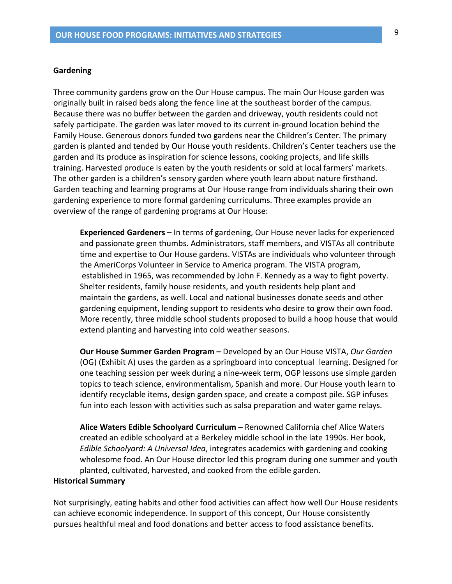#### Gardening

Three community gardens grow on the Our House campus. The main Our House garden was originally built in raised beds along the fence line at the southeast border of the campus. Because there was no buffer between the garden and driveway, youth residents could not safely participate. The garden was later moved to its current in-ground location behind the Family House. Generous donors funded two gardens near the Children's Center. The primary garden is planted and tended by Our House youth residents. Children's Center teachers use the garden and its produce as inspiration for science lessons, cooking projects, and life skills training. Harvested produce is eaten by the youth residents or sold at local farmers' markets. The other garden is a children's sensory garden where youth learn about nature firsthand. Garden teaching and learning programs at Our House range from individuals sharing their own gardening experience to more formal gardening curriculums. Three examples provide an overview of the range of gardening programs at Our House:

**Experienced Gardeners** – In terms of gardening, Our House never lacks for experienced and passionate green thumbs. Administrators, staff members, and VISTAs all contribute time and expertise to Our House gardens. VISTAs are individuals who volunteer through the AmeriCorps Volunteer in Service to America program. The VISTA program, established in 1965, was recommended by John F. Kennedy as a way to fight poverty. Shelter residents, family house residents, and youth residents help plant and maintain the gardens, as well. Local and national businesses donate seeds and other gardening equipment, lending support to residents who desire to grow their own food. More recently, three middle school students proposed to build a hoop house that would extend planting and harvesting into cold weather seasons.

**Our House Summer Garden Program –** Developed by an Our House VISTA, Our Garden (OG) (Exhibit A) uses the garden as a springboard into conceptual learning. Designed for one teaching session per week during a nine-week term, OGP lessons use simple garden topics to teach science, environmentalism, Spanish and more. Our House youth learn to identify recyclable items, design garden space, and create a compost pile. SGP infuses fun into each lesson with activities such as salsa preparation and water game relays.

Alice Waters Edible Schoolyard Curriculum - Renowned California chef Alice Waters created an edible schoolyard at a Berkeley middle school in the late 1990s. Her book, Edible Schoolyard: A Universal Idea, integrates academics with gardening and cooking wholesome food. An Our House director led this program during one summer and youth planted, cultivated, harvested, and cooked from the edible garden.

#### **Historical Summary**

Not surprisingly, eating habits and other food activities can affect how well Our House residents can achieve economic independence. In support of this concept, Our House consistently pursues healthful meal and food donations and better access to food assistance benefits.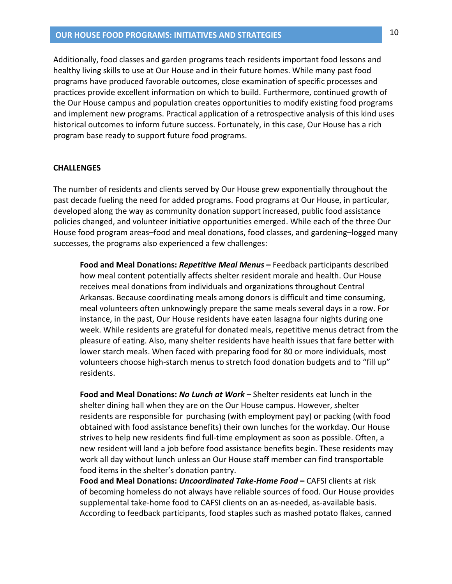Additionally, food classes and garden programs teach residents important food lessons and healthy living skills to use at Our House and in their future homes. While many past food programs have produced favorable outcomes, close examination of specific processes and practices provide excellent information on which to build. Furthermore, continued growth of the Our House campus and population creates opportunities to modify existing food programs and implement new programs. Practical application of a retrospective analysis of this kind uses historical outcomes to inform future success. Fortunately, in this case, Our House has a rich program base ready to support future food programs.

#### **CHALLENGES**

The number of residents and clients served by Our House grew exponentially throughout the past decade fueling the need for added programs. Food programs at Our House, in particular, developed along the way as community donation support increased, public food assistance policies changed, and volunteer initiative opportunities emerged. While each of the three Our House food program areas-food and meal donations, food classes, and gardening-logged many successes, the programs also experienced a few challenges:

Food and Meal Donations: Repetitive Meal Menus - Feedback participants described how meal content potentially affects shelter resident morale and health. Our House receives meal donations from individuals and organizations throughout Central Arkansas. Because coordinating meals among donors is difficult and time consuming, meal volunteers often unknowingly prepare the same meals several days in a row. For instance, in the past, Our House residents have eaten lasagna four nights during one week. While residents are grateful for donated meals, repetitive menus detract from the pleasure of eating. Also, many shelter residents have health issues that fare better with lower starch meals. When faced with preparing food for 80 or more individuals, most volunteers choose high-starch menus to stretch food donation budgets and to "fill up" residents.

Food and Meal Donations: No Lunch at Work - Shelter residents eat lunch in the shelter dining hall when they are on the Our House campus. However, shelter residents are responsible for purchasing (with employment pay) or packing (with food obtained with food assistance benefits) their own lunches for the workday. Our House strives to help new residents find full-time employment as soon as possible. Often, a new resident will land a job before food assistance benefits begin. These residents may work all day without lunch unless an Our House staff member can find transportable food items in the shelter's donation pantry.

Food and Meal Donations: Uncoordinated Take-Home Food - CAFSI clients at risk of becoming homeless do not always have reliable sources of food. Our House provides supplemental take-home food to CAFSI clients on an as-needed, as-available basis. According to feedback participants, food staples such as mashed potato flakes, canned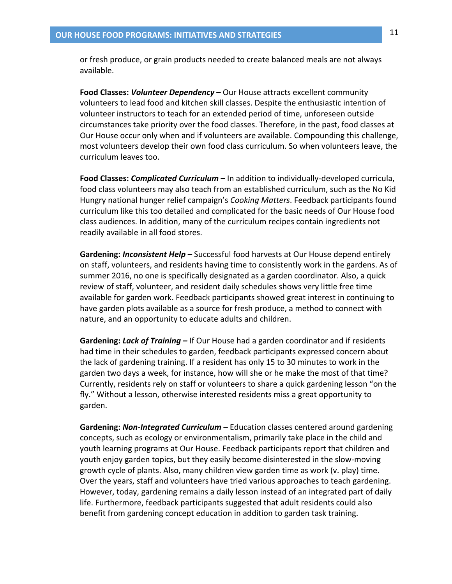or fresh produce, or grain products needed to create balanced meals are not always available.

Food Classes: Volunteer Dependency - Our House attracts excellent community volunteers to lead food and kitchen skill classes. Despite the enthusiastic intention of volunteer instructors to teach for an extended period of time, unforeseen outside circumstances take priority over the food classes. Therefore, in the past, food classes at Our House occur only when and if volunteers are available. Compounding this challenge, most volunteers develop their own food class curriculum. So when volunteers leave, the curriculum leaves too.

Food Classes: *Complicated Curriculum -* In addition to individually-developed curricula, food class volunteers may also teach from an established curriculum, such as the No Kid Hungry national hunger relief campaign's Cooking Matters. Feedback participants found curriculum like this too detailed and complicated for the basic needs of Our House food class audiences. In addition, many of the curriculum recipes contain ingredients not readily available in all food stores.

**Gardening: Inconsistent Help –** Successful food harvests at Our House depend entirely on staff, volunteers, and residents having time to consistently work in the gardens. As of summer 2016, no one is specifically designated as a garden coordinator. Also, a quick review of staff, volunteer, and resident daily schedules shows very little free time available for garden work. Feedback participants showed great interest in continuing to have garden plots available as a source for fresh produce, a method to connect with nature, and an opportunity to educate adults and children.

Gardening: Lack of Training – If Our House had a garden coordinator and if residents had time in their schedules to garden, feedback participants expressed concern about the lack of gardening training. If a resident has only 15 to 30 minutes to work in the garden two days a week, for instance, how will she or he make the most of that time? Currently, residents rely on staff or volunteers to share a quick gardening lesson "on the fly." Without a lesson, otherwise interested residents miss a great opportunity to garden.

Gardening: Non-Integrated Curriculum - Education classes centered around gardening concepts, such as ecology or environmentalism, primarily take place in the child and youth learning programs at Our House. Feedback participants report that children and youth enjoy garden topics, but they easily become disinterested in the slow-moving growth cycle of plants. Also, many children view garden time as work (v. play) time. Over the years, staff and volunteers have tried various approaches to teach gardening. However, today, gardening remains a daily lesson instead of an integrated part of daily life. Furthermore, feedback participants suggested that adult residents could also benefit from gardening concept education in addition to garden task training.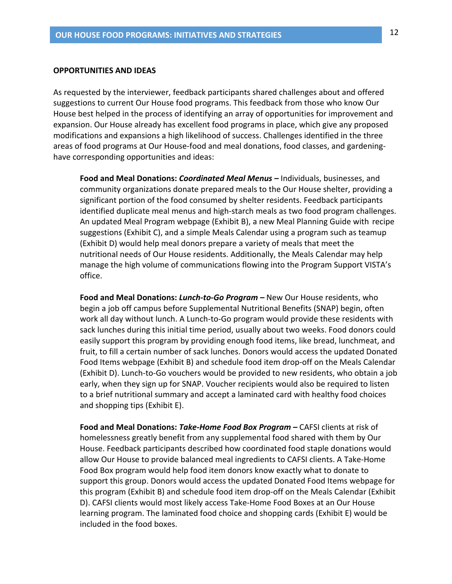#### **OPPORTUNITIES AND IDEAS**

As requested by the interviewer, feedback participants shared challenges about and offered suggestions to current Our House food programs. This feedback from those who know Our House best helped in the process of identifying an array of opportunities for improvement and expansion. Our House already has excellent food programs in place, which give any proposed modifications and expansions a high likelihood of success. Challenges identified in the three areas of food programs at Our House-food and meal donations, food classes, and gardeninghave corresponding opportunities and ideas:

Food and Meal Donations: Coordinated Meal Menus - Individuals, businesses, and community organizations donate prepared meals to the Our House shelter, providing a significant portion of the food consumed by shelter residents. Feedback participants identified duplicate meal menus and high-starch meals as two food program challenges. An updated Meal Program webpage (Exhibit B), a new Meal Planning Guide with recipe suggestions (Exhibit C), and a simple Meals Calendar using a program such as teamup (Exhibit D) would help meal donors prepare a variety of meals that meet the nutritional needs of Our House residents. Additionally, the Meals Calendar may help manage the high volume of communications flowing into the Program Support VISTA's office.

Food and Meal Donations: Lunch-to-Go Program - New Our House residents, who begin a job off campus before Supplemental Nutritional Benefits (SNAP) begin, often work all day without lunch. A Lunch-to-Go program would provide these residents with sack lunches during this initial time period, usually about two weeks. Food donors could easily support this program by providing enough food items, like bread, lunchmeat, and fruit, to fill a certain number of sack lunches. Donors would access the updated Donated Food Items webpage (Exhibit B) and schedule food item drop-off on the Meals Calendar (Exhibit D). Lunch-to-Go vouchers would be provided to new residents, who obtain a job early, when they sign up for SNAP. Voucher recipients would also be required to listen to a brief nutritional summary and accept a laminated card with healthy food choices and shopping tips (Exhibit E).

Food and Meal Donations: Take-Home Food Box Program - CAFSI clients at risk of homelessness greatly benefit from any supplemental food shared with them by Our House. Feedback participants described how coordinated food staple donations would allow Our House to provide balanced meal ingredients to CAFSI clients. A Take-Home Food Box program would help food item donors know exactly what to donate to support this group. Donors would access the updated Donated Food Items webpage for this program (Exhibit B) and schedule food item drop-off on the Meals Calendar (Exhibit D). CAFSI clients would most likely access Take-Home Food Boxes at an Our House learning program. The laminated food choice and shopping cards (Exhibit E) would be included in the food boxes.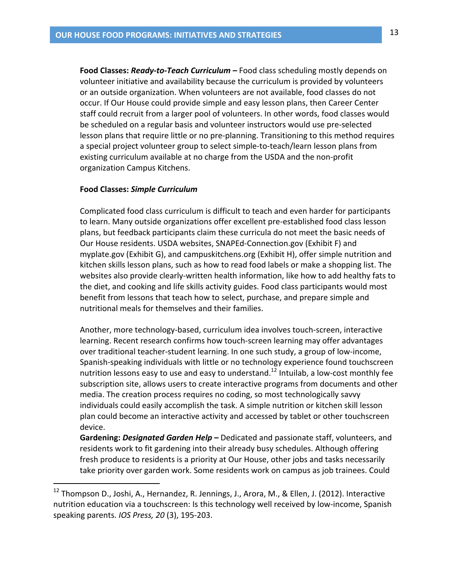Food Classes: Ready-to-Teach Curriculum – Food class scheduling mostly depends on volunteer initiative and availability because the curriculum is provided by volunteers or an outside organization. When volunteers are not available, food classes do not occur. If Our House could provide simple and easy lesson plans, then Career Center staff could recruit from a larger pool of volunteers. In other words, food classes would be scheduled on a regular basis and volunteer instructors would use pre-selected lesson plans that require little or no pre-planning. Transitioning to this method requires a special project volunteer group to select simple-to-teach/learn lesson plans from existing curriculum available at no charge from the USDA and the non-profit organization Campus Kitchens.

#### **Food Classes: Simple Curriculum**

Complicated food class curriculum is difficult to teach and even harder for participants to learn. Many outside organizations offer excellent pre-established food class lesson plans, but feedback participants claim these curricula do not meet the basic needs of Our House residents. USDA websites, SNAPEd-Connection.gov (Exhibit F) and myplate.gov (Exhibit G), and campuskitchens.org (Exhibit H), offer simple nutrition and kitchen skills lesson plans, such as how to read food labels or make a shopping list. The websites also provide clearly-written health information, like how to add healthy fats to the diet, and cooking and life skills activity guides. Food class participants would most benefit from lessons that teach how to select, purchase, and prepare simple and nutritional meals for themselves and their families.

Another, more technology-based, curriculum idea involves touch-screen, interactive learning. Recent research confirms how touch-screen learning may offer advantages over traditional teacher-student learning. In one such study, a group of low-income, Spanish-speaking individuals with little or no technology experience found touchscreen nutrition lessons easy to use and easy to understand.<sup>12</sup> Intuilab, a low-cost monthly fee subscription site, allows users to create interactive programs from documents and other media. The creation process requires no coding, so most technologically savvy individuals could easily accomplish the task. A simple nutrition or kitchen skill lesson plan could become an interactive activity and accessed by tablet or other touchscreen device.

Gardening: Designated Garden Help - Dedicated and passionate staff, volunteers, and residents work to fit gardening into their already busy schedules. Although offering fresh produce to residents is a priority at Our House, other jobs and tasks necessarily take priority over garden work. Some residents work on campus as job trainees. Could

<sup>&</sup>lt;sup>12</sup> Thompson D., Joshi, A., Hernandez, R. Jennings, J., Arora, M., & Ellen, J. (2012). Interactive nutrition education via a touchscreen: Is this technology well received by low-income, Spanish speaking parents. IOS Press, 20 (3), 195-203.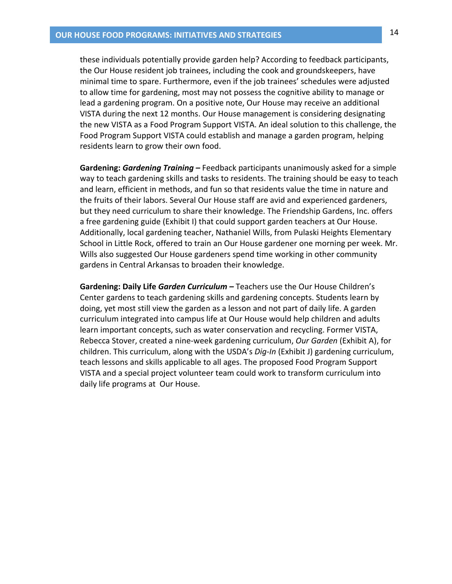these individuals potentially provide garden help? According to feedback participants, the Our House resident job trainees, including the cook and groundskeepers, have minimal time to spare. Furthermore, even if the job trainees' schedules were adjusted to allow time for gardening, most may not possess the cognitive ability to manage or lead a gardening program. On a positive note, Our House may receive an additional VISTA during the next 12 months. Our House management is considering designating the new VISTA as a Food Program Support VISTA. An ideal solution to this challenge, the Food Program Support VISTA could establish and manage a garden program, helping residents learn to grow their own food.

Gardening: Gardening Training - Feedback participants unanimously asked for a simple way to teach gardening skills and tasks to residents. The training should be easy to teach and learn, efficient in methods, and fun so that residents value the time in nature and the fruits of their labors. Several Our House staff are avid and experienced gardeners, but they need curriculum to share their knowledge. The Friendship Gardens, Inc. offers a free gardening guide (Exhibit I) that could support garden teachers at Our House. Additionally, local gardening teacher, Nathaniel Wills, from Pulaski Heights Elementary School in Little Rock, offered to train an Our House gardener one morning per week. Mr. Wills also suggested Our House gardeners spend time working in other community gardens in Central Arkansas to broaden their knowledge.

Gardening: Daily Life Garden Curriculum – Teachers use the Our House Children's Center gardens to teach gardening skills and gardening concepts. Students learn by doing, yet most still view the garden as a lesson and not part of daily life. A garden curriculum integrated into campus life at Our House would help children and adults learn important concepts, such as water conservation and recycling. Former VISTA, Rebecca Stover, created a nine-week gardening curriculum, Our Garden (Exhibit A), for children. This curriculum, along with the USDA's Dig-In (Exhibit J) gardening curriculum, teach lessons and skills applicable to all ages. The proposed Food Program Support VISTA and a special project volunteer team could work to transform curriculum into daily life programs at Our House.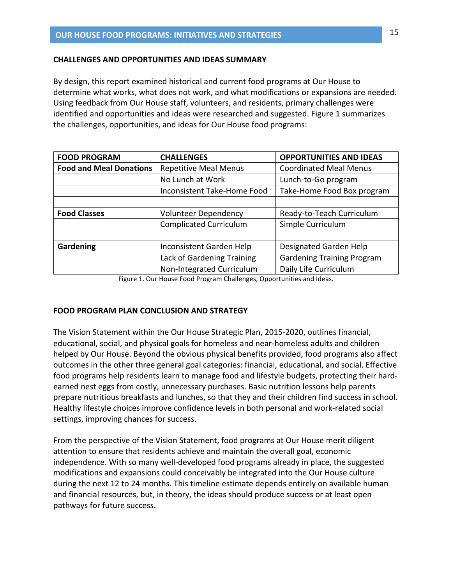#### **CHALLENGES AND OPPORTUNITIES AND IDEAS SUMMARY**

By design, this report examined historical and current food programs at Our House to determine what works, what does not work, and what modifications or expansions are needed. Using feedback from Our House staff, volunteers, and residents, primary challenges were identified and opportunities and ideas were researched and suggested. Figure 1 summarizes the challenges, opportunities, and ideas for Our House food programs:

| <b>FOOD PROGRAM</b>            | <b>CHALLENGES</b>                  | <b>OPPORTUNITIES AND IDEAS</b>    |
|--------------------------------|------------------------------------|-----------------------------------|
| <b>Food and Meal Donations</b> | <b>Repetitive Meal Menus</b>       | <b>Coordinated Meal Menus</b>     |
|                                | No Lunch at Work                   | Lunch-to-Go program               |
|                                | <b>Inconsistent Take-Home Food</b> | Take-Home Food Box program        |
|                                |                                    |                                   |
| <b>Food Classes</b>            | <b>Volunteer Dependency</b>        | Ready-to-Teach Curriculum         |
|                                | <b>Complicated Curriculum</b>      | Simple Curriculum                 |
|                                |                                    |                                   |
| Gardening                      | Inconsistent Garden Help           | Designated Garden Help            |
|                                | Lack of Gardening Training         | <b>Gardening Training Program</b> |
|                                | Non-Integrated Curriculum          | Daily Life Curriculum             |

Figure 1. Our House Food Program Challenges, Opportunities and Ideas.

### **FOOD PROGRAM PLAN CONCLUSION AND STRATEGY**

The Vision Statement within the Our House Strategic Plan, 2015-2020, outlines financial, educational, social, and physical goals for homeless and near-homeless adults and children helped by Our House. Beyond the obvious physical benefits provided, food programs also affect outcomes in the other three general goal categories: financial, educational, and social. Effective food programs help residents learn to manage food and lifestyle budgets, protecting their hardearned nest eggs from costly, unnecessary purchases. Basic nutrition lessons help parents prepare nutritious breakfasts and lunches, so that they and their children find success in school. Healthy lifestyle choices improve confidence levels in both personal and work-related social settings, improving chances for success.

From the perspective of the Vision Statement, food programs at Our House merit diligent attention to ensure that residents achieve and maintain the overall goal, economic independence. With so many well-developed food programs already in place, the suggested modifications and expansions could conceivably be integrated into the Our House culture during the next 12 to 24 months. This timeline estimate depends entirely on available human and financial resources, but, in theory, the ideas should produce success or at least open pathways for future success.